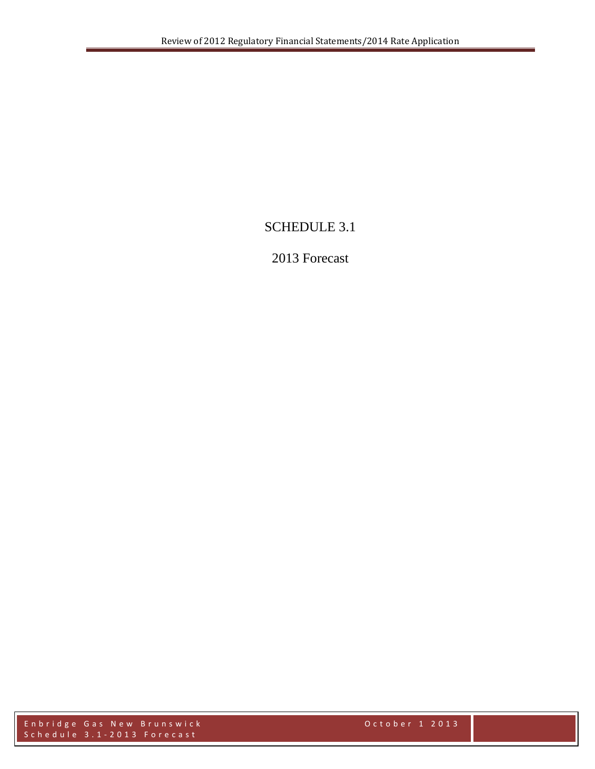# SCHEDULE 3.1

# 2013 Forecast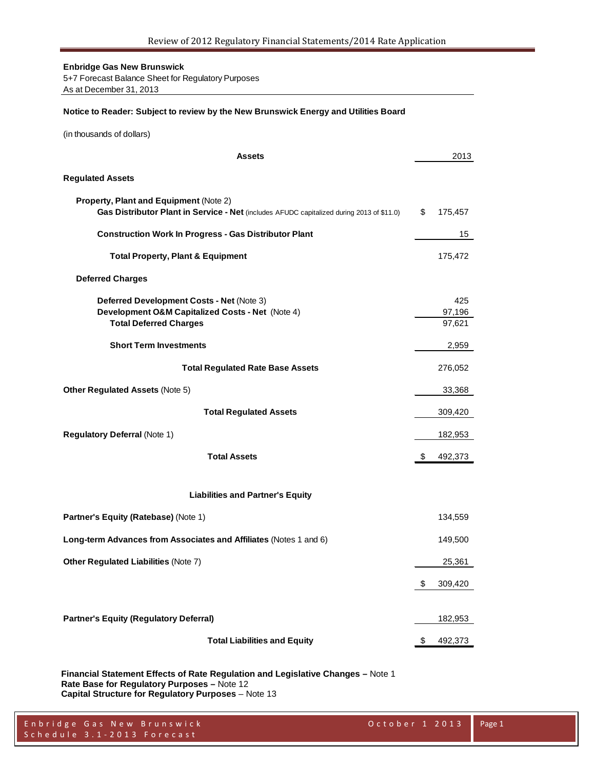5+7 Forecast Balance Sheet for Regulatory Purposes As at December 31, 2013

#### **Notice to Reader: Subject to review by the New Brunswick Energy and Utilities Board**

(in thousands of dollars)

| Assets                                                                                                                              | 2013                    |
|-------------------------------------------------------------------------------------------------------------------------------------|-------------------------|
| <b>Regulated Assets</b>                                                                                                             |                         |
| Property, Plant and Equipment (Note 2)<br>Gas Distributor Plant in Service - Net (includes AFUDC capitalized during 2013 of \$11.0) | \$<br>175,457           |
| <b>Construction Work In Progress - Gas Distributor Plant</b>                                                                        | 15                      |
| <b>Total Property, Plant &amp; Equipment</b>                                                                                        | 175,472                 |
| <b>Deferred Charges</b>                                                                                                             |                         |
| Deferred Development Costs - Net (Note 3)<br>Development O&M Capitalized Costs - Net (Note 4)<br><b>Total Deferred Charges</b>      | 425<br>97,196<br>97,621 |
| <b>Short Term Investments</b>                                                                                                       | 2,959                   |
| <b>Total Regulated Rate Base Assets</b>                                                                                             | 276,052                 |
| <b>Other Regulated Assets (Note 5)</b>                                                                                              | 33,368                  |
| <b>Total Regulated Assets</b>                                                                                                       | 309,420                 |
| <b>Regulatory Deferral (Note 1)</b>                                                                                                 | 182,953                 |
| <b>Total Assets</b>                                                                                                                 | \$<br>492,373           |
| <b>Liabilities and Partner's Equity</b>                                                                                             |                         |
| <b>Partner's Equity (Ratebase) (Note 1)</b>                                                                                         | 134,559                 |
| Long-term Advances from Associates and Affiliates (Notes 1 and 6)                                                                   | 149,500                 |
| <b>Other Regulated Liabilities (Note 7)</b>                                                                                         | 25,361                  |
|                                                                                                                                     | \$<br>309,420           |
| <b>Partner's Equity (Regulatory Deferral)</b>                                                                                       | 182,953                 |
| <b>Total Liabilities and Equity</b>                                                                                                 | \$<br>492,373           |

**Financial Statement Effects of Rate Regulation and Legislative Changes –** Note 1 **Rate Base for Regulatory Purposes –** Note 12 **Capital Structure for Regulatory Purposes** – Note 13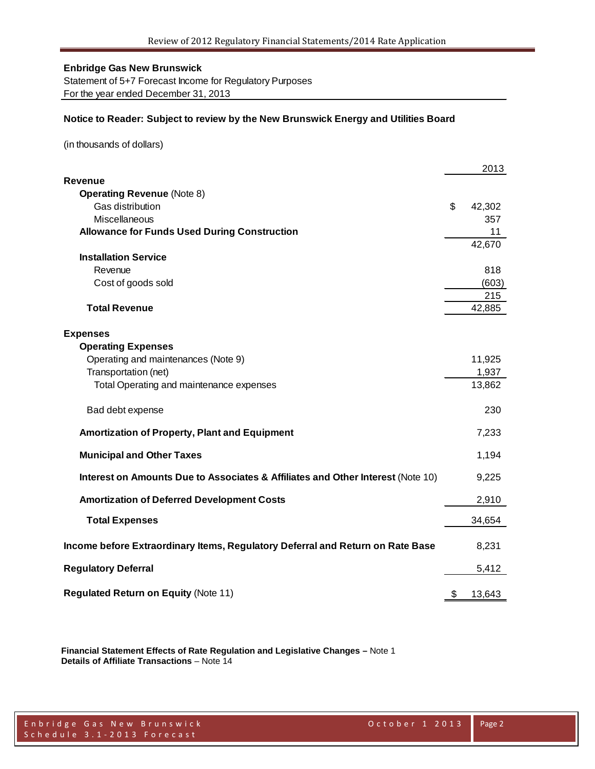Statement of 5+7 Forecast Income for Regulatory Purposes For the year ended December 31, 2013

#### **Notice to Reader: Subject to review by the New Brunswick Energy and Utilities Board**

(in thousands of dollars)

|                                                                                 | 2013         |
|---------------------------------------------------------------------------------|--------------|
| Revenue                                                                         |              |
| <b>Operating Revenue (Note 8)</b>                                               |              |
| Gas distribution                                                                | \$<br>42,302 |
| Miscellaneous                                                                   | 357          |
| <b>Allowance for Funds Used During Construction</b>                             | 11           |
| <b>Installation Service</b>                                                     | 42,670       |
| Revenue                                                                         | 818          |
| Cost of goods sold                                                              | (603)        |
|                                                                                 | 215          |
| <b>Total Revenue</b>                                                            | 42,885       |
|                                                                                 |              |
| <b>Expenses</b>                                                                 |              |
| <b>Operating Expenses</b>                                                       |              |
| Operating and maintenances (Note 9)                                             | 11,925       |
| Transportation (net)                                                            | 1,937        |
| Total Operating and maintenance expenses                                        | 13,862       |
|                                                                                 |              |
| Bad debt expense                                                                | 230          |
| <b>Amortization of Property, Plant and Equipment</b>                            | 7,233        |
| <b>Municipal and Other Taxes</b>                                                | 1,194        |
|                                                                                 |              |
| Interest on Amounts Due to Associates & Affiliates and Other Interest (Note 10) | 9,225        |
| <b>Amortization of Deferred Development Costs</b>                               | 2,910        |
| <b>Total Expenses</b>                                                           | 34,654       |
| Income before Extraordinary Items, Regulatory Deferral and Return on Rate Base  | 8,231        |
|                                                                                 |              |
| <b>Regulatory Deferral</b>                                                      | 5,412        |
| <b>Regulated Return on Equity (Note 11)</b>                                     | \$<br>13,643 |

**Financial Statement Effects of Rate Regulation and Legislative Changes –** Note 1 **Details of Affiliate Transactions** – Note 14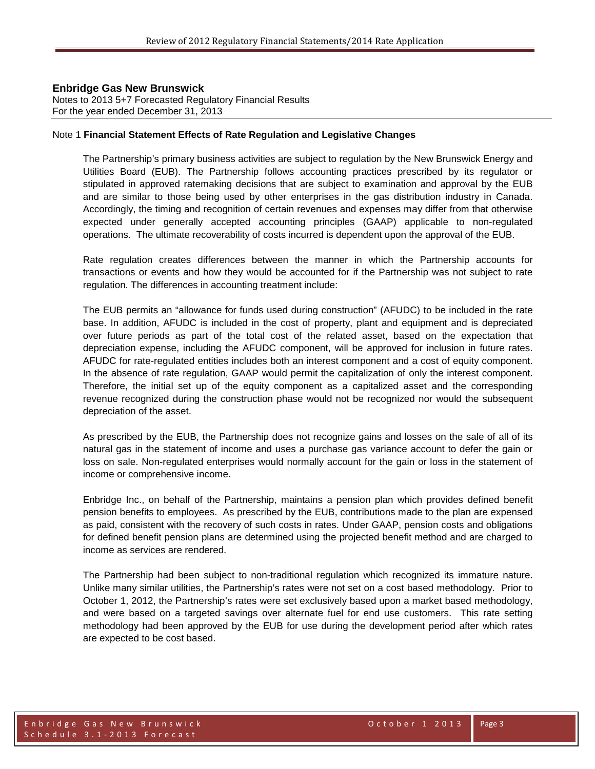Notes to 2013 5+7 Forecasted Regulatory Financial Results For the year ended December 31, 2013

#### Note 1 **Financial Statement Effects of Rate Regulation and Legislative Changes**

The Partnership's primary business activities are subject to regulation by the New Brunswick Energy and Utilities Board (EUB). The Partnership follows accounting practices prescribed by its regulator or stipulated in approved ratemaking decisions that are subject to examination and approval by the EUB and are similar to those being used by other enterprises in the gas distribution industry in Canada. Accordingly, the timing and recognition of certain revenues and expenses may differ from that otherwise expected under generally accepted accounting principles (GAAP) applicable to non-regulated operations. The ultimate recoverability of costs incurred is dependent upon the approval of the EUB.

Rate regulation creates differences between the manner in which the Partnership accounts for transactions or events and how they would be accounted for if the Partnership was not subject to rate regulation. The differences in accounting treatment include:

The EUB permits an "allowance for funds used during construction" (AFUDC) to be included in the rate base. In addition, AFUDC is included in the cost of property, plant and equipment and is depreciated over future periods as part of the total cost of the related asset, based on the expectation that depreciation expense, including the AFUDC component, will be approved for inclusion in future rates. AFUDC for rate-regulated entities includes both an interest component and a cost of equity component. In the absence of rate regulation, GAAP would permit the capitalization of only the interest component. Therefore, the initial set up of the equity component as a capitalized asset and the corresponding revenue recognized during the construction phase would not be recognized nor would the subsequent depreciation of the asset.

As prescribed by the EUB, the Partnership does not recognize gains and losses on the sale of all of its natural gas in the statement of income and uses a purchase gas variance account to defer the gain or loss on sale. Non-regulated enterprises would normally account for the gain or loss in the statement of income or comprehensive income.

Enbridge Inc., on behalf of the Partnership, maintains a pension plan which provides defined benefit pension benefits to employees. As prescribed by the EUB, contributions made to the plan are expensed as paid, consistent with the recovery of such costs in rates. Under GAAP, pension costs and obligations for defined benefit pension plans are determined using the projected benefit method and are charged to income as services are rendered.

The Partnership had been subject to non-traditional regulation which recognized its immature nature. Unlike many similar utilities, the Partnership's rates were not set on a cost based methodology. Prior to October 1, 2012, the Partnership's rates were set exclusively based upon a market based methodology, and were based on a targeted savings over alternate fuel for end use customers. This rate setting methodology had been approved by the EUB for use during the development period after which rates are expected to be cost based.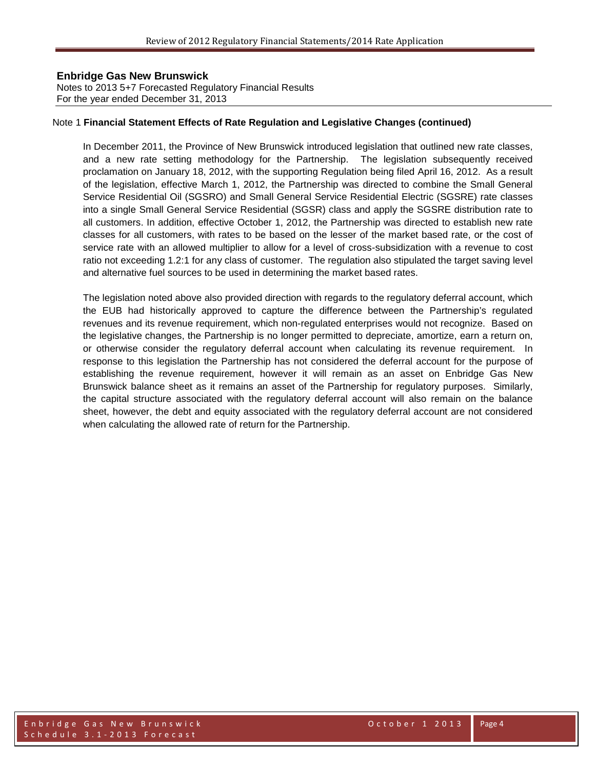Notes to 2013 5+7 Forecasted Regulatory Financial Results For the year ended December 31, 2013

#### Note 1 **Financial Statement Effects of Rate Regulation and Legislative Changes (continued)**

In December 2011, the Province of New Brunswick introduced legislation that outlined new rate classes, and a new rate setting methodology for the Partnership. The legislation subsequently received proclamation on January 18, 2012, with the supporting Regulation being filed April 16, 2012. As a result of the legislation, effective March 1, 2012, the Partnership was directed to combine the Small General Service Residential Oil (SGSRO) and Small General Service Residential Electric (SGSRE) rate classes into a single Small General Service Residential (SGSR) class and apply the SGSRE distribution rate to all customers. In addition, effective October 1, 2012, the Partnership was directed to establish new rate classes for all customers, with rates to be based on the lesser of the market based rate, or the cost of service rate with an allowed multiplier to allow for a level of cross-subsidization with a revenue to cost ratio not exceeding 1.2:1 for any class of customer. The regulation also stipulated the target saving level and alternative fuel sources to be used in determining the market based rates.

The legislation noted above also provided direction with regards to the regulatory deferral account, which the EUB had historically approved to capture the difference between the Partnership's regulated revenues and its revenue requirement, which non-regulated enterprises would not recognize. Based on the legislative changes, the Partnership is no longer permitted to depreciate, amortize, earn a return on, or otherwise consider the regulatory deferral account when calculating its revenue requirement. In response to this legislation the Partnership has not considered the deferral account for the purpose of establishing the revenue requirement, however it will remain as an asset on Enbridge Gas New Brunswick balance sheet as it remains an asset of the Partnership for regulatory purposes. Similarly, the capital structure associated with the regulatory deferral account will also remain on the balance sheet, however, the debt and equity associated with the regulatory deferral account are not considered when calculating the allowed rate of return for the Partnership.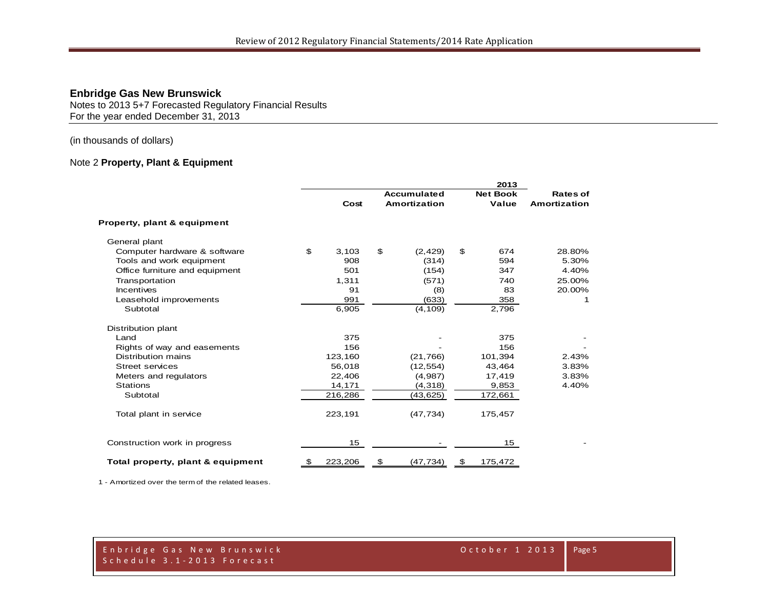Notes to 2013 5+7 Forecasted Regulatory Financial Results For the year ended December 31, 2013

(in thousands of dollars)

### Note 2 **Property, Plant & Equipment**

|                                        |               |                     |    | 2013            |              |
|----------------------------------------|---------------|---------------------|----|-----------------|--------------|
|                                        |               | <b>Accumulated</b>  |    | <b>Net Book</b> | Rates of     |
|                                        | Cost          | <b>Amortization</b> |    | Value           | Amortization |
| <b>Property, plant &amp; equipment</b> |               |                     |    |                 |              |
| General plant                          |               |                     |    |                 |              |
| Computer hardware & software           | \$<br>3,103   | \$<br>(2, 429)      | \$ | 674             | 28.80%       |
| Tools and work equipment               | 908           | (314)               |    | 594             | 5.30%        |
| Office furniture and equipment         | 501           | (154)               |    | 347             | 4.40%        |
| Transportation                         | 1,311         | (571)               |    | 740             | 25.00%       |
| <b>Incentives</b>                      | 91            | (8)                 |    | 83              | 20.00%       |
| Leasehold improvements                 | 991           | (633)               |    | 358             |              |
| Subtotal                               | 6,905         | (4, 109)            |    | 2,796           |              |
| Distribution plant                     |               |                     |    |                 |              |
| Land                                   | 375           |                     |    | 375             |              |
| Rights of way and easements            | 156           |                     |    | 156             |              |
| Distribution mains                     | 123,160       | (21,766)            |    | 101,394         | 2.43%        |
| <b>Street services</b>                 | 56,018        | (12, 554)           |    | 43,464          | 3.83%        |
| Meters and regulators                  | 22,406        | (4,987)             |    | 17,419          | 3.83%        |
| <b>Stations</b>                        | 14,171        | (4, 318)            |    | 9,853           | 4.40%        |
| Subtotal                               | 216,286       | (43,625)            |    | 172,661         |              |
| Total plant in service                 | 223,191       | (47, 734)           |    | 175,457         |              |
| Construction work in progress          | 15            |                     |    | 15              |              |
| Total property, plant & equipment      | \$<br>223,206 | \$<br>(47,734)      | \$ | 175,472         |              |

1 - Amortized over the term of the related leases.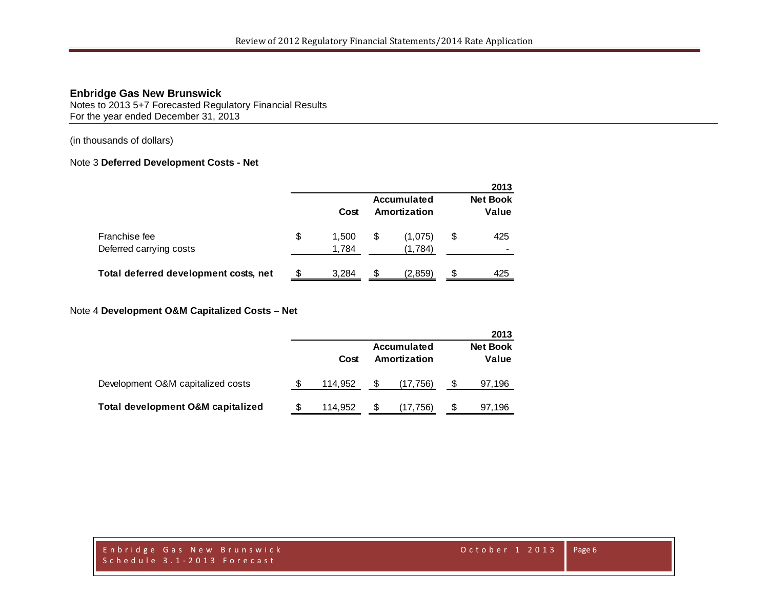Notes to 2013 5+7 Forecasted Regulatory Financial Results For the year ended December 31, 2013

(in thousands of dollars)

#### Note 3 **Deferred Development Costs - Net**

|                                          |    |                |     |                             |    | 2013                     |
|------------------------------------------|----|----------------|-----|-----------------------------|----|--------------------------|
|                                          |    | Cost           |     | Accumulated<br>Amortization |    | <b>Net Book</b><br>Value |
| Franchise fee<br>Deferred carrying costs | \$ | 1.500<br>1,784 | \$  | (1,075)<br>(1,784)          | \$ | 425                      |
| Total deferred development costs, net    | £. | 3.284          | \$. | (2,859)                     | S  | 425                      |

# Note 4 **Development O&M Capitalized Costs – Net**

|                                              |   |         |                             |    | 2013                     |
|----------------------------------------------|---|---------|-----------------------------|----|--------------------------|
|                                              |   | Cost    | Accumulated<br>Amortization |    | <b>Net Book</b><br>Value |
| Development O&M capitalized costs            |   | 114.952 | (17, 756)                   | \$ | 97,196                   |
| <b>Total development O&amp;M capitalized</b> | S | 114,952 | (17,756)                    | S  | 97,196                   |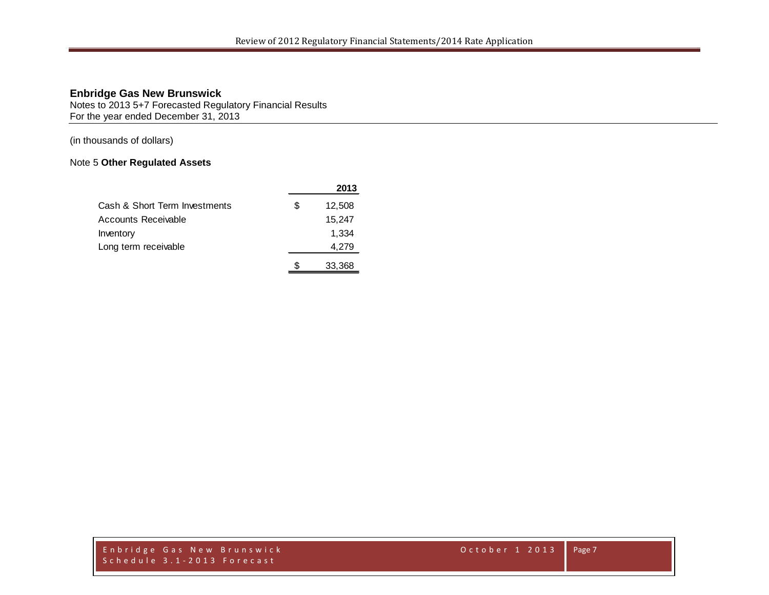Notes to 2013 5+7 Forecasted Regulatory Financial Results For the year ended December 31, 2013

(in thousands of dollars)

# Note 5 **Other Regulated Assets**

|                               | 2013         |
|-------------------------------|--------------|
| Cash & Short Term Investments | \$<br>12,508 |
| Accounts Receivable           | 15,247       |
| Inventory                     | 1.334        |
| Long term receivable          | 4,279        |
|                               | 33,368       |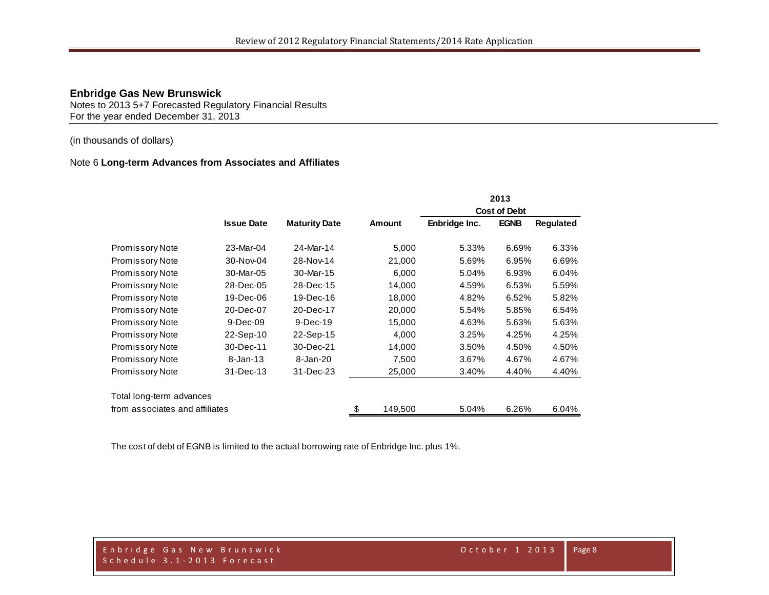Notes to 2013 5+7 Forecasted Regulatory Financial Results For the year ended December 31, 2013

## (in thousands of dollars)

#### Note 6 **Long-term Advances from Associates and Affiliates**

|                                |                   |                      |               |                     | 2013        |           |
|--------------------------------|-------------------|----------------------|---------------|---------------------|-------------|-----------|
|                                |                   |                      |               | <b>Cost of Debt</b> |             |           |
|                                | <b>Issue Date</b> | <b>Maturity Date</b> | <b>Amount</b> | Enbridge Inc.       | <b>EGNB</b> | Regulated |
| <b>Promissory Note</b>         | 23-Mar-04         | 24-Mar-14            | 5,000         | 5.33%               | 6.69%       | 6.33%     |
| Promissory Note                | 30-Nov-04         | 28-Nov-14            | 21,000        | 5.69%               | 6.95%       | 6.69%     |
| <b>Promissory Note</b>         | 30-Mar-05         | 30-Mar-15            | 6.000         | 5.04%               | 6.93%       | 6.04%     |
| <b>Promissory Note</b>         | 28-Dec-05         | 28-Dec-15            | 14,000        | 4.59%               | 6.53%       | 5.59%     |
| <b>Promissory Note</b>         | 19-Dec-06         | 19-Dec-16            | 18,000        | 4.82%               | 6.52%       | 5.82%     |
| <b>Promissory Note</b>         | 20-Dec-07         | 20-Dec-17            | 20,000        | 5.54%               | 5.85%       | 6.54%     |
| <b>Promissory Note</b>         | $9$ -Dec-09       | $9-Dec-19$           | 15,000        | 4.63%               | 5.63%       | 5.63%     |
| <b>Promissory Note</b>         | 22-Sep-10         | 22-Sep-15            | 4,000         | 3.25%               | 4.25%       | 4.25%     |
| <b>Promissory Note</b>         | 30-Dec-11         | 30-Dec-21            | 14,000        | 3.50%               | 4.50%       | 4.50%     |
| Promissory Note                | $8 - Jan - 13$    | 8-Jan-20             | 7,500         | 3.67%               | 4.67%       | 4.67%     |
| <b>Promissory Note</b>         | 31-Dec-13         | 31-Dec-23            | 25,000        | 3.40%               | 4.40%       | 4.40%     |
| Total long-term advances       |                   |                      |               |                     |             |           |
| from associates and affiliates |                   |                      | \$<br>149,500 | 5.04%               | 6.26%       | 6.04%     |

The cost of debt of EGNB is limited to the actual borrowing rate of Enbridge Inc. plus 1%.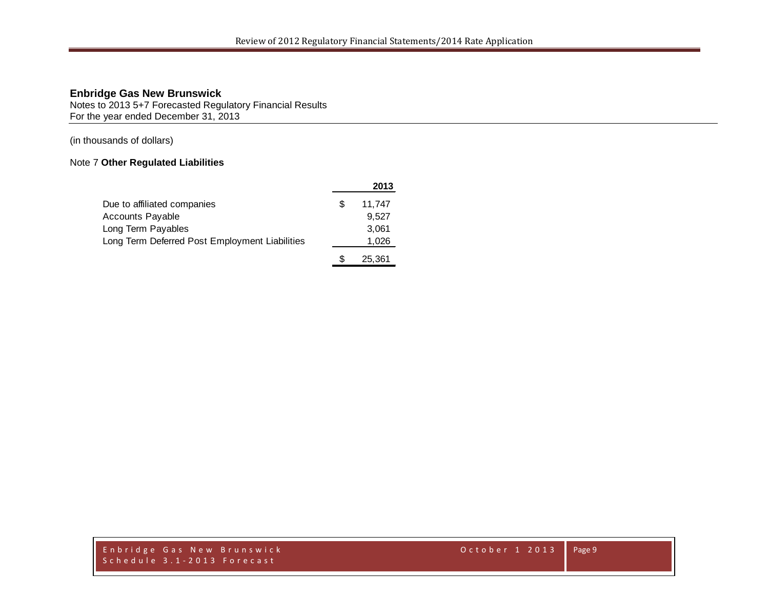Notes to 2013 5+7 Forecasted Regulatory Financial Results For the year ended December 31, 2013

(in thousands of dollars)

# Note 7 **Other Regulated Liabilities**

|                                                |     | 2013   |
|------------------------------------------------|-----|--------|
| Due to affiliated companies                    | \$. | 11,747 |
| <b>Accounts Payable</b>                        |     | 9.527  |
| Long Term Payables                             |     | 3,061  |
| Long Term Deferred Post Employment Liabilities |     | 1,026  |
|                                                |     | 25.361 |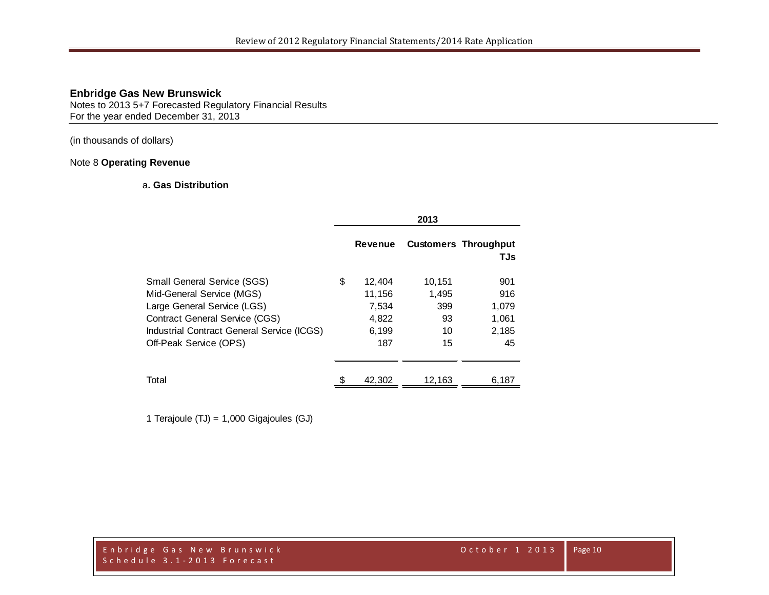Notes to 2013 5+7 Forecasted Regulatory Financial Results For the year ended December 31, 2013

(in thousands of dollars)

### Note 8 **Operating Revenue**

#### a**. Gas Distribution**

|                                                                                                                                                                                                                 |                                                          | 2013                                     |                                             |
|-----------------------------------------------------------------------------------------------------------------------------------------------------------------------------------------------------------------|----------------------------------------------------------|------------------------------------------|---------------------------------------------|
|                                                                                                                                                                                                                 | <b>Revenue</b>                                           |                                          | <b>Customers Throughput</b><br>TJs          |
| <b>Small General Service (SGS)</b><br>Mid-General Service (MGS)<br>Large General Service (LGS)<br><b>Contract General Service (CGS)</b><br>Industrial Contract General Service (ICGS)<br>Off-Peak Service (OPS) | \$<br>12,404<br>11,156<br>7,534<br>4,822<br>6,199<br>187 | 10,151<br>1,495<br>399<br>93<br>10<br>15 | 901<br>916<br>1,079<br>1,061<br>2,185<br>45 |
| Total                                                                                                                                                                                                           | 42,302                                                   | 12,163                                   | 6,187                                       |

1 Terajoule (TJ) = 1,000 Gigajoules (GJ)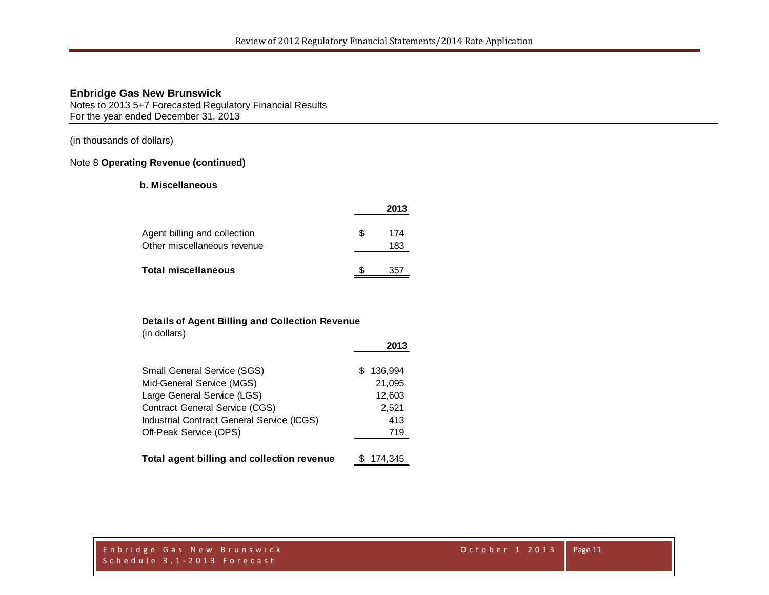Notes to 2013 5+7 Forecasted Regulatory Financial Results For the year ended December 31, 2013

(in thousands of dollars)

### Note 8 **Operating Revenue (continued)**

## **b. Miscellaneous**

|                                                             |   | 2013       |
|-------------------------------------------------------------|---|------------|
| Agent billing and collection<br>Other miscellaneous revenue | S | 174<br>183 |
| <b>Total miscellaneous</b>                                  |   | 357        |

## **Details of Agent Billing and Collection Revenue**

(in dollars)

|                                            | 2013          |
|--------------------------------------------|---------------|
| <b>Small General Service (SGS)</b>         | 136,994<br>SS |
| Mid-General Service (MGS)                  | 21,095        |
| Large General Service (LGS)                | 12,603        |
| <b>Contract General Service (CGS)</b>      | 2,521         |
| Industrial Contract General Service (ICGS) | 413           |
| Off-Peak Service (OPS)                     | 719           |
|                                            |               |
| Total agent billing and collection revenue | 174.345       |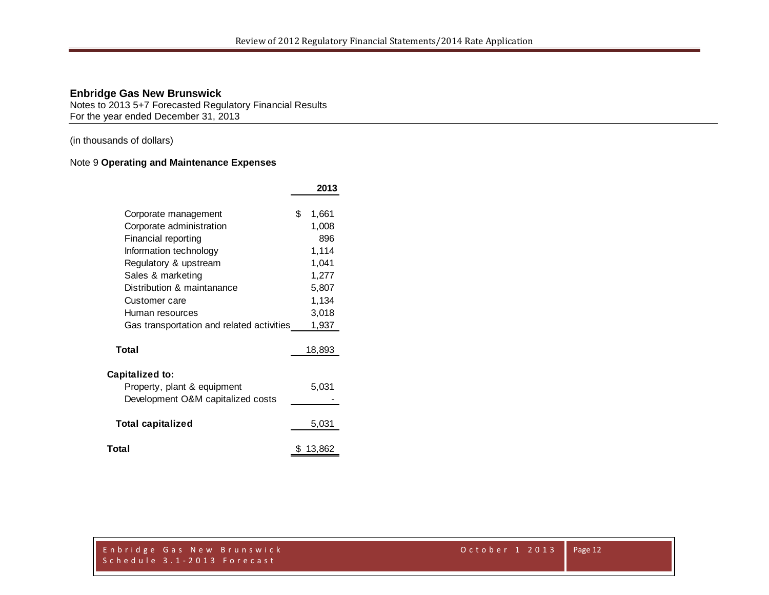Notes to 2013 5+7 Forecasted Regulatory Financial Results For the year ended December 31, 2013

(in thousands of dollars)

# Note 9 **Operating and Maintenance Expenses**

|                                                                                                                                                           | 2013                                               |
|-----------------------------------------------------------------------------------------------------------------------------------------------------------|----------------------------------------------------|
| Corporate management<br>Corporate administration<br>Financial reporting<br>Information technology                                                         | \$<br>1,661<br>1,008<br>896<br>1,114               |
| Regulatory & upstream<br>Sales & marketing<br>Distribution & maintanance<br>Customer care<br>Human resources<br>Gas transportation and related activities | 1,041<br>1,277<br>5,807<br>1,134<br>3,018<br>1,937 |
| Total                                                                                                                                                     | 18,893                                             |
| <b>Capitalized to:</b><br>Property, plant & equipment<br>Development O&M capitalized costs                                                                | 5,031                                              |
| <b>Total capitalized</b>                                                                                                                                  | 5,031                                              |
| Total                                                                                                                                                     | 13,862                                             |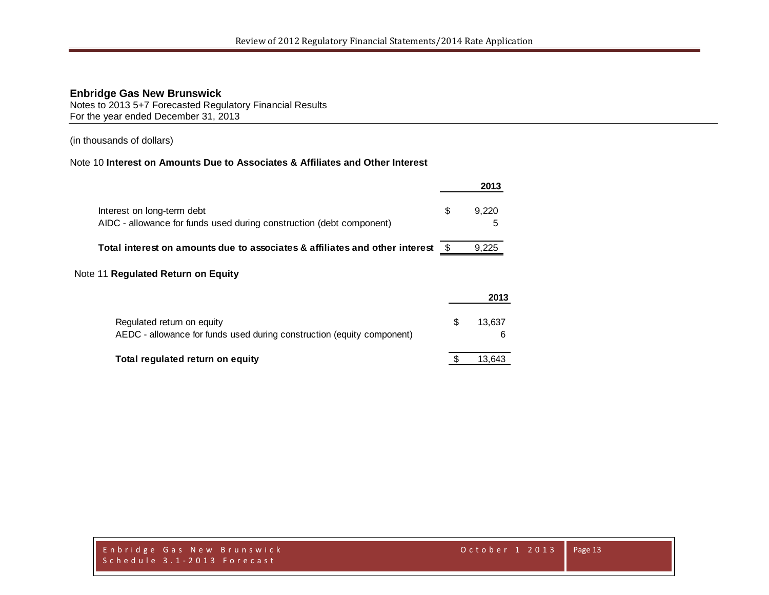Notes to 2013 5+7 Forecasted Regulatory Financial Results For the year ended December 31, 2013

(in thousands of dollars)

# Note 10 **Interest on Amounts Due to Associates & Affiliates and Other Interest**

|                                                                                                    |      | 2013       |
|----------------------------------------------------------------------------------------------------|------|------------|
| Interest on long-term debt<br>AIDC - allowance for funds used during construction (debt component) | S    | 9.220<br>5 |
| Total interest on amounts due to associates & affiliates and other interest                        | - SS | 9,225      |
| e 11 Regulated Return on Fquity                                                                    |      |            |

# Note 11 **Regulated Return on Equity**

|                                                                                                      |    | 2013        |
|------------------------------------------------------------------------------------------------------|----|-------------|
| Regulated return on equity<br>AEDC - allowance for funds used during construction (equity component) | S. | 13.637<br>6 |
| Total regulated return on equity                                                                     |    | 13.643      |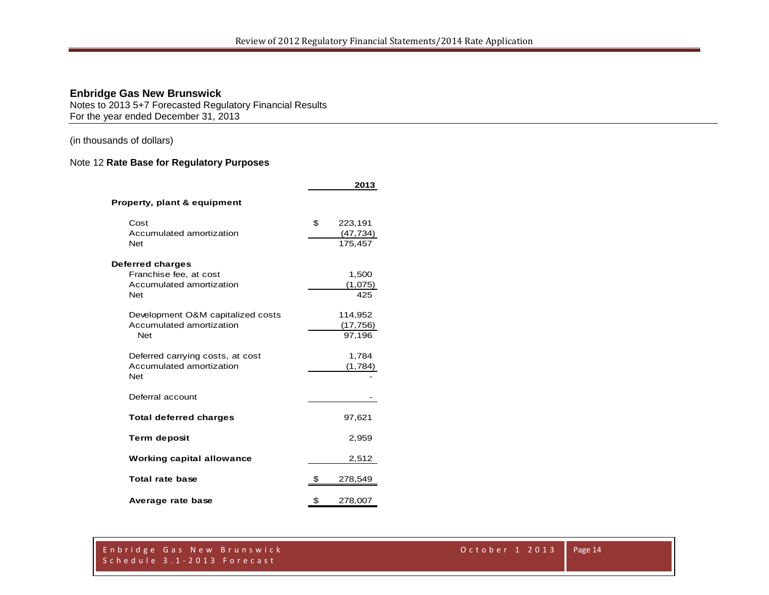Notes to 2013 5+7 Forecasted Regulatory Financial Results For the year ended December 31, 2013

(in thousands of dollars)

# Note 12 **Rate Base for Regulatory Purposes**

|                                        | 2013                 |
|----------------------------------------|----------------------|
| Property, plant & equipment            |                      |
| Cost                                   | \$<br>223,191        |
| Accumulated amortization<br><b>Net</b> | (47, 734)<br>175,457 |
| Deferred charges                       |                      |
| Franchise fee, at cost                 | 1,500                |
| Accumulated amortization               | (1,075)              |
| <b>Net</b>                             | 425                  |
| Development O&M capitalized costs      | 114,952              |
| Accumulated amortization               | (17, 756)            |
| <b>Net</b>                             | 97,196               |
| Deferred carrying costs, at cost       | 1,784                |
| Accumulated amortization<br><b>Net</b> | (1,784)              |
| Deferral account                       |                      |
| <b>Total deferred charges</b>          | 97,621               |
| <b>Term deposit</b>                    | 2,959                |
| <b>Working capital allowance</b>       | 2,512                |
| Total rate base                        | \$<br>278,549        |
| Average rate base                      | \$<br>278,007        |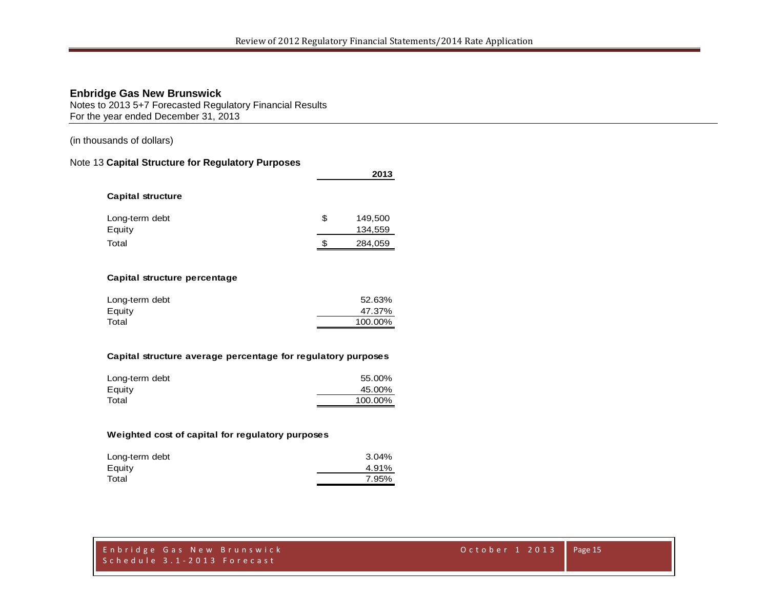Notes to 2013 5+7 Forecasted Regulatory Financial Results For the year ended December 31, 2013

(in thousands of dollars)

# Note 13 **Capital Structure for Regulatory Purposes**

|                          |    | 2013               |
|--------------------------|----|--------------------|
| <b>Capital structure</b> |    |                    |
| Long-term debt<br>Equity | \$ | 149,500<br>134,559 |
| Total                    | S  | 284,059            |

#### **Capital structure percentage**

| Long-term debt | 52.63%  |
|----------------|---------|
| Equity         | 47.37%  |
| Total          | 100.00% |

#### **Capital structure average percentage for regulatory purposes**

| Long-term debt | 55.00%  |
|----------------|---------|
| Equity         | 45.00%  |
| Total          | 100.00% |

#### **Weighted cost of capital for regulatory purposes**

| Long-term debt | 3.04% |
|----------------|-------|
| Equity         | 4.91% |
| Total          | 7.95% |
|                |       |

|                            | Enbridge Gas New Brunswick' |
|----------------------------|-----------------------------|
| Schedule 3.1-2013 Forecast |                             |